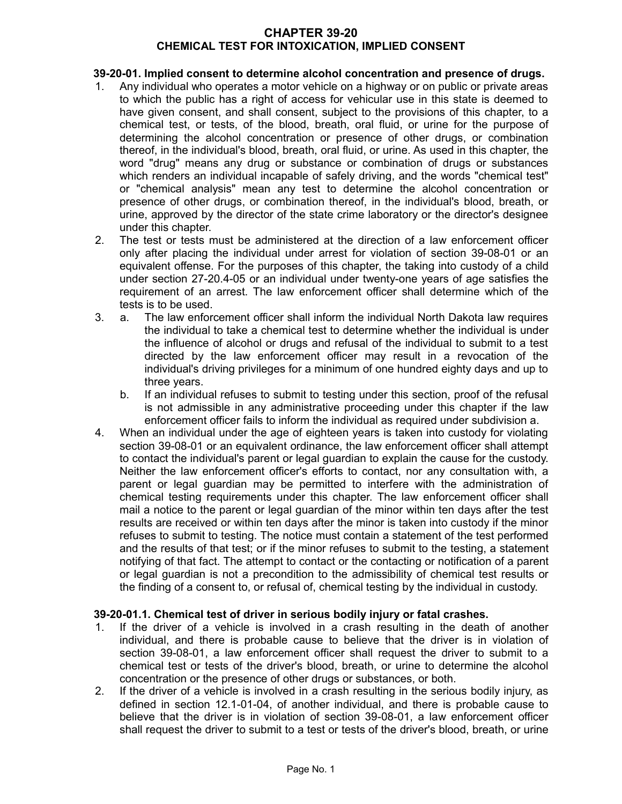# **CHAPTER 39-20 CHEMICAL TEST FOR INTOXICATION, IMPLIED CONSENT**

# **39-20-01. Implied consent to determine alcohol concentration and presence of drugs.**

- 1. Any individual who operates a motor vehicle on a highway or on public or private areas to which the public has a right of access for vehicular use in this state is deemed to have given consent, and shall consent, subject to the provisions of this chapter, to a chemical test, or tests, of the blood, breath, oral fluid, or urine for the purpose of determining the alcohol concentration or presence of other drugs, or combination thereof, in the individual's blood, breath, oral fluid, or urine. As used in this chapter, the word "drug" means any drug or substance or combination of drugs or substances which renders an individual incapable of safely driving, and the words "chemical test" or "chemical analysis" mean any test to determine the alcohol concentration or presence of other drugs, or combination thereof, in the individual's blood, breath, or urine, approved by the director of the state crime laboratory or the director's designee under this chapter.
- 2. The test or tests must be administered at the direction of a law enforcement officer only after placing the individual under arrest for violation of section 39-08-01 or an equivalent offense. For the purposes of this chapter, the taking into custody of a child under section 27-20.4-05 or an individual under twenty-one years of age satisfies the requirement of an arrest. The law enforcement officer shall determine which of the tests is to be used.
- 3. a. The law enforcement officer shall inform the individual North Dakota law requires the individual to take a chemical test to determine whether the individual is under the influence of alcohol or drugs and refusal of the individual to submit to a test directed by the law enforcement officer may result in a revocation of the individual's driving privileges for a minimum of one hundred eighty days and up to three years.
	- b. If an individual refuses to submit to testing under this section, proof of the refusal is not admissible in any administrative proceeding under this chapter if the law enforcement officer fails to inform the individual as required under subdivision a.
- 4. When an individual under the age of eighteen years is taken into custody for violating section 39-08-01 or an equivalent ordinance, the law enforcement officer shall attempt to contact the individual's parent or legal guardian to explain the cause for the custody. Neither the law enforcement officer's efforts to contact, nor any consultation with, a parent or legal guardian may be permitted to interfere with the administration of chemical testing requirements under this chapter. The law enforcement officer shall mail a notice to the parent or legal guardian of the minor within ten days after the test results are received or within ten days after the minor is taken into custody if the minor refuses to submit to testing. The notice must contain a statement of the test performed and the results of that test; or if the minor refuses to submit to the testing, a statement notifying of that fact. The attempt to contact or the contacting or notification of a parent or legal guardian is not a precondition to the admissibility of chemical test results or the finding of a consent to, or refusal of, chemical testing by the individual in custody.

### **39-20-01.1. Chemical test of driver in serious bodily injury or fatal crashes.**

- 1. If the driver of a vehicle is involved in a crash resulting in the death of another individual, and there is probable cause to believe that the driver is in violation of section 39-08-01, a law enforcement officer shall request the driver to submit to a chemical test or tests of the driver's blood, breath, or urine to determine the alcohol concentration or the presence of other drugs or substances, or both.
- 2. If the driver of a vehicle is involved in a crash resulting in the serious bodily injury, as defined in section 12.1-01-04, of another individual, and there is probable cause to believe that the driver is in violation of section 39-08-01, a law enforcement officer shall request the driver to submit to a test or tests of the driver's blood, breath, or urine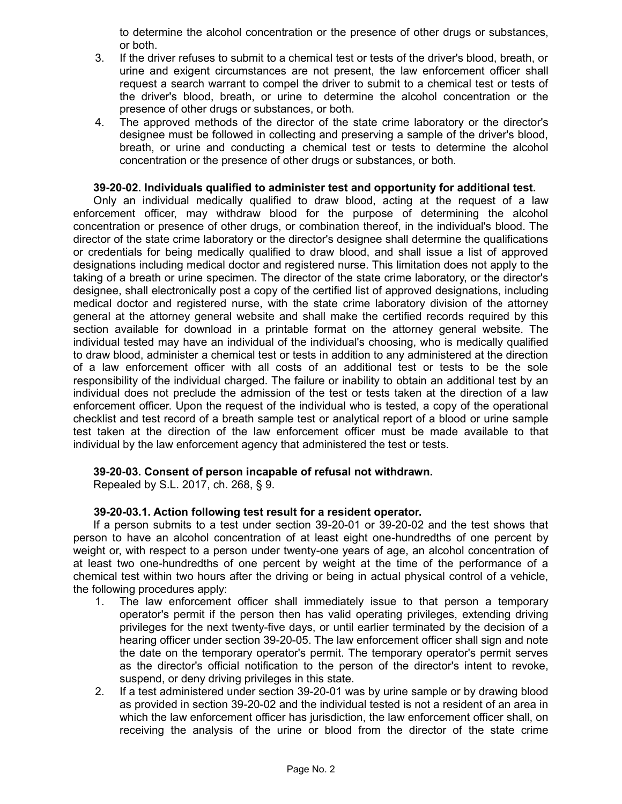to determine the alcohol concentration or the presence of other drugs or substances, or both.

- 3. If the driver refuses to submit to a chemical test or tests of the driver's blood, breath, or urine and exigent circumstances are not present, the law enforcement officer shall request a search warrant to compel the driver to submit to a chemical test or tests of the driver's blood, breath, or urine to determine the alcohol concentration or the presence of other drugs or substances, or both.
- 4. The approved methods of the director of the state crime laboratory or the director's designee must be followed in collecting and preserving a sample of the driver's blood, breath, or urine and conducting a chemical test or tests to determine the alcohol concentration or the presence of other drugs or substances, or both.

## **39-20-02. Individuals qualified to administer test and opportunity for additional test.**

Only an individual medically qualified to draw blood, acting at the request of a law enforcement officer, may withdraw blood for the purpose of determining the alcohol concentration or presence of other drugs, or combination thereof, in the individual's blood. The director of the state crime laboratory or the director's designee shall determine the qualifications or credentials for being medically qualified to draw blood, and shall issue a list of approved designations including medical doctor and registered nurse. This limitation does not apply to the taking of a breath or urine specimen. The director of the state crime laboratory, or the director's designee, shall electronically post a copy of the certified list of approved designations, including medical doctor and registered nurse, with the state crime laboratory division of the attorney general at the attorney general website and shall make the certified records required by this section available for download in a printable format on the attorney general website. The individual tested may have an individual of the individual's choosing, who is medically qualified to draw blood, administer a chemical test or tests in addition to any administered at the direction of a law enforcement officer with all costs of an additional test or tests to be the sole responsibility of the individual charged. The failure or inability to obtain an additional test by an individual does not preclude the admission of the test or tests taken at the direction of a law enforcement officer. Upon the request of the individual who is tested, a copy of the operational checklist and test record of a breath sample test or analytical report of a blood or urine sample test taken at the direction of the law enforcement officer must be made available to that individual by the law enforcement agency that administered the test or tests.

### **39-20-03. Consent of person incapable of refusal not withdrawn.**

Repealed by S.L. 2017, ch. 268, § 9.

### **39-20-03.1. Action following test result for a resident operator.**

If a person submits to a test under section 39-20-01 or 39-20-02 and the test shows that person to have an alcohol concentration of at least eight one-hundredths of one percent by weight or, with respect to a person under twenty-one years of age, an alcohol concentration of at least two one-hundredths of one percent by weight at the time of the performance of a chemical test within two hours after the driving or being in actual physical control of a vehicle, the following procedures apply:

- 1. The law enforcement officer shall immediately issue to that person a temporary operator's permit if the person then has valid operating privileges, extending driving privileges for the next twenty-five days, or until earlier terminated by the decision of a hearing officer under section 39-20-05. The law enforcement officer shall sign and note the date on the temporary operator's permit. The temporary operator's permit serves as the director's official notification to the person of the director's intent to revoke, suspend, or deny driving privileges in this state.
- 2. If a test administered under section 39-20-01 was by urine sample or by drawing blood as provided in section 39-20-02 and the individual tested is not a resident of an area in which the law enforcement officer has jurisdiction, the law enforcement officer shall, on receiving the analysis of the urine or blood from the director of the state crime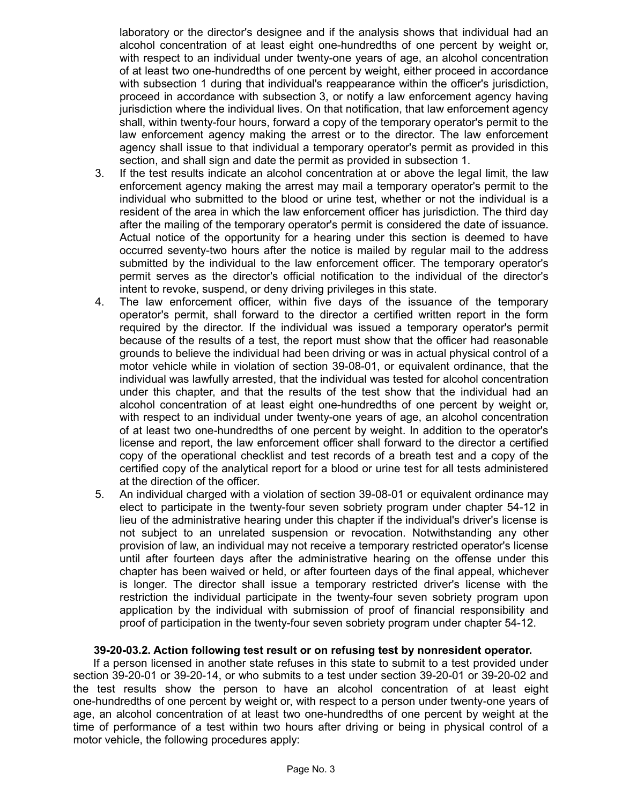laboratory or the director's designee and if the analysis shows that individual had an alcohol concentration of at least eight one-hundredths of one percent by weight or, with respect to an individual under twenty-one years of age, an alcohol concentration of at least two one-hundredths of one percent by weight, either proceed in accordance with subsection 1 during that individual's reappearance within the officer's jurisdiction, proceed in accordance with subsection 3, or notify a law enforcement agency having jurisdiction where the individual lives. On that notification, that law enforcement agency shall, within twenty-four hours, forward a copy of the temporary operator's permit to the law enforcement agency making the arrest or to the director. The law enforcement agency shall issue to that individual a temporary operator's permit as provided in this section, and shall sign and date the permit as provided in subsection 1.

- 3. If the test results indicate an alcohol concentration at or above the legal limit, the law enforcement agency making the arrest may mail a temporary operator's permit to the individual who submitted to the blood or urine test, whether or not the individual is a resident of the area in which the law enforcement officer has jurisdiction. The third day after the mailing of the temporary operator's permit is considered the date of issuance. Actual notice of the opportunity for a hearing under this section is deemed to have occurred seventy-two hours after the notice is mailed by regular mail to the address submitted by the individual to the law enforcement officer. The temporary operator's permit serves as the director's official notification to the individual of the director's intent to revoke, suspend, or deny driving privileges in this state.
- 4. The law enforcement officer, within five days of the issuance of the temporary operator's permit, shall forward to the director a certified written report in the form required by the director. If the individual was issued a temporary operator's permit because of the results of a test, the report must show that the officer had reasonable grounds to believe the individual had been driving or was in actual physical control of a motor vehicle while in violation of section 39-08-01, or equivalent ordinance, that the individual was lawfully arrested, that the individual was tested for alcohol concentration under this chapter, and that the results of the test show that the individual had an alcohol concentration of at least eight one-hundredths of one percent by weight or, with respect to an individual under twenty-one years of age, an alcohol concentration of at least two one-hundredths of one percent by weight. In addition to the operator's license and report, the law enforcement officer shall forward to the director a certified copy of the operational checklist and test records of a breath test and a copy of the certified copy of the analytical report for a blood or urine test for all tests administered at the direction of the officer.
- 5. An individual charged with a violation of section 39-08-01 or equivalent ordinance may elect to participate in the twenty-four seven sobriety program under chapter 54-12 in lieu of the administrative hearing under this chapter if the individual's driver's license is not subject to an unrelated suspension or revocation. Notwithstanding any other provision of law, an individual may not receive a temporary restricted operator's license until after fourteen days after the administrative hearing on the offense under this chapter has been waived or held, or after fourteen days of the final appeal, whichever is longer. The director shall issue a temporary restricted driver's license with the restriction the individual participate in the twenty-four seven sobriety program upon application by the individual with submission of proof of financial responsibility and proof of participation in the twenty-four seven sobriety program under chapter 54-12.

## **39-20-03.2. Action following test result or on refusing test by nonresident operator.**

If a person licensed in another state refuses in this state to submit to a test provided under section 39-20-01 or 39-20-14, or who submits to a test under section 39-20-01 or 39-20-02 and the test results show the person to have an alcohol concentration of at least eight one-hundredths of one percent by weight or, with respect to a person under twenty-one years of age, an alcohol concentration of at least two one-hundredths of one percent by weight at the time of performance of a test within two hours after driving or being in physical control of a motor vehicle, the following procedures apply: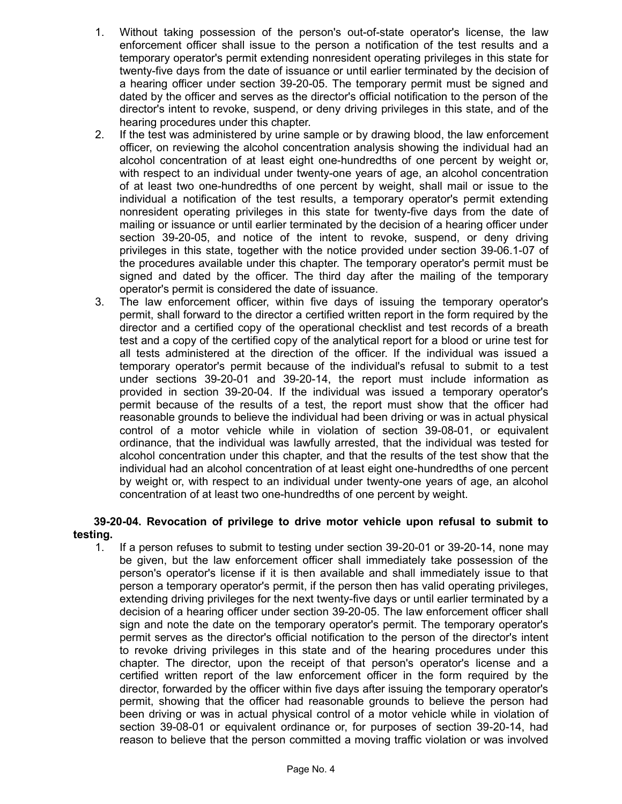- 1. Without taking possession of the person's out-of-state operator's license, the law enforcement officer shall issue to the person a notification of the test results and a temporary operator's permit extending nonresident operating privileges in this state for twenty-five days from the date of issuance or until earlier terminated by the decision of a hearing officer under section 39-20-05. The temporary permit must be signed and dated by the officer and serves as the director's official notification to the person of the director's intent to revoke, suspend, or deny driving privileges in this state, and of the hearing procedures under this chapter.
- 2. If the test was administered by urine sample or by drawing blood, the law enforcement officer, on reviewing the alcohol concentration analysis showing the individual had an alcohol concentration of at least eight one-hundredths of one percent by weight or, with respect to an individual under twenty-one years of age, an alcohol concentration of at least two one-hundredths of one percent by weight, shall mail or issue to the individual a notification of the test results, a temporary operator's permit extending nonresident operating privileges in this state for twenty-five days from the date of mailing or issuance or until earlier terminated by the decision of a hearing officer under section 39-20-05, and notice of the intent to revoke, suspend, or deny driving privileges in this state, together with the notice provided under section 39-06.1-07 of the procedures available under this chapter. The temporary operator's permit must be signed and dated by the officer. The third day after the mailing of the temporary operator's permit is considered the date of issuance.
- 3. The law enforcement officer, within five days of issuing the temporary operator's permit, shall forward to the director a certified written report in the form required by the director and a certified copy of the operational checklist and test records of a breath test and a copy of the certified copy of the analytical report for a blood or urine test for all tests administered at the direction of the officer. If the individual was issued a temporary operator's permit because of the individual's refusal to submit to a test under sections 39-20-01 and 39-20-14, the report must include information as provided in section 39-20-04. If the individual was issued a temporary operator's permit because of the results of a test, the report must show that the officer had reasonable grounds to believe the individual had been driving or was in actual physical control of a motor vehicle while in violation of section 39-08-01, or equivalent ordinance, that the individual was lawfully arrested, that the individual was tested for alcohol concentration under this chapter, and that the results of the test show that the individual had an alcohol concentration of at least eight one-hundredths of one percent by weight or, with respect to an individual under twenty-one years of age, an alcohol concentration of at least two one-hundredths of one percent by weight.

# **39-20-04. Revocation of privilege to drive motor vehicle upon refusal to submit to testing.**

1. If a person refuses to submit to testing under section 39-20-01 or 39-20-14, none may be given, but the law enforcement officer shall immediately take possession of the person's operator's license if it is then available and shall immediately issue to that person a temporary operator's permit, if the person then has valid operating privileges, extending driving privileges for the next twenty-five days or until earlier terminated by a decision of a hearing officer under section 39-20-05. The law enforcement officer shall sign and note the date on the temporary operator's permit. The temporary operator's permit serves as the director's official notification to the person of the director's intent to revoke driving privileges in this state and of the hearing procedures under this chapter. The director, upon the receipt of that person's operator's license and a certified written report of the law enforcement officer in the form required by the director, forwarded by the officer within five days after issuing the temporary operator's permit, showing that the officer had reasonable grounds to believe the person had been driving or was in actual physical control of a motor vehicle while in violation of section 39-08-01 or equivalent ordinance or, for purposes of section 39-20-14, had reason to believe that the person committed a moving traffic violation or was involved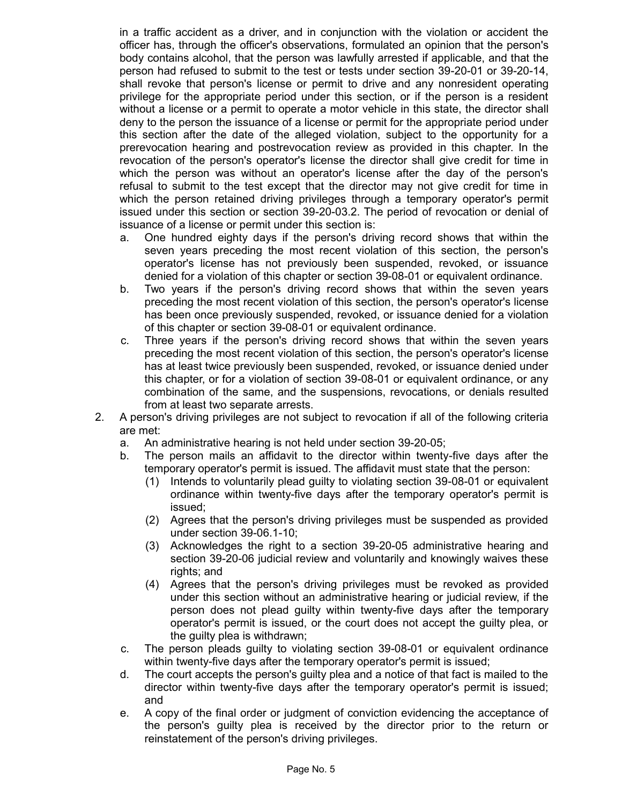in a traffic accident as a driver, and in conjunction with the violation or accident the officer has, through the officer's observations, formulated an opinion that the person's body contains alcohol, that the person was lawfully arrested if applicable, and that the person had refused to submit to the test or tests under section 39-20-01 or 39-20-14, shall revoke that person's license or permit to drive and any nonresident operating privilege for the appropriate period under this section, or if the person is a resident without a license or a permit to operate a motor vehicle in this state, the director shall deny to the person the issuance of a license or permit for the appropriate period under this section after the date of the alleged violation, subject to the opportunity for a prerevocation hearing and postrevocation review as provided in this chapter. In the revocation of the person's operator's license the director shall give credit for time in which the person was without an operator's license after the day of the person's refusal to submit to the test except that the director may not give credit for time in which the person retained driving privileges through a temporary operator's permit issued under this section or section 39-20-03.2. The period of revocation or denial of issuance of a license or permit under this section is:

- a. One hundred eighty days if the person's driving record shows that within the seven years preceding the most recent violation of this section, the person's operator's license has not previously been suspended, revoked, or issuance denied for a violation of this chapter or section 39-08-01 or equivalent ordinance.
- b. Two years if the person's driving record shows that within the seven years preceding the most recent violation of this section, the person's operator's license has been once previously suspended, revoked, or issuance denied for a violation of this chapter or section 39-08-01 or equivalent ordinance.
- c. Three years if the person's driving record shows that within the seven years preceding the most recent violation of this section, the person's operator's license has at least twice previously been suspended, revoked, or issuance denied under this chapter, or for a violation of section 39-08-01 or equivalent ordinance, or any combination of the same, and the suspensions, revocations, or denials resulted from at least two separate arrests.
- 2. A person's driving privileges are not subject to revocation if all of the following criteria are met:
	- a. An administrative hearing is not held under section 39-20-05;
	- b. The person mails an affidavit to the director within twenty-five days after the temporary operator's permit is issued. The affidavit must state that the person:
		- (1) Intends to voluntarily plead guilty to violating section 39-08-01 or equivalent ordinance within twenty-five days after the temporary operator's permit is issued;
		- (2) Agrees that the person's driving privileges must be suspended as provided under section 39-06.1-10;
		- (3) Acknowledges the right to a section 39-20-05 administrative hearing and section 39-20-06 judicial review and voluntarily and knowingly waives these rights; and
		- (4) Agrees that the person's driving privileges must be revoked as provided under this section without an administrative hearing or judicial review, if the person does not plead guilty within twenty-five days after the temporary operator's permit is issued, or the court does not accept the guilty plea, or the guilty plea is withdrawn;
	- c. The person pleads guilty to violating section 39-08-01 or equivalent ordinance within twenty-five days after the temporary operator's permit is issued;
	- d. The court accepts the person's guilty plea and a notice of that fact is mailed to the director within twenty-five days after the temporary operator's permit is issued; and
	- e. A copy of the final order or judgment of conviction evidencing the acceptance of the person's guilty plea is received by the director prior to the return or reinstatement of the person's driving privileges.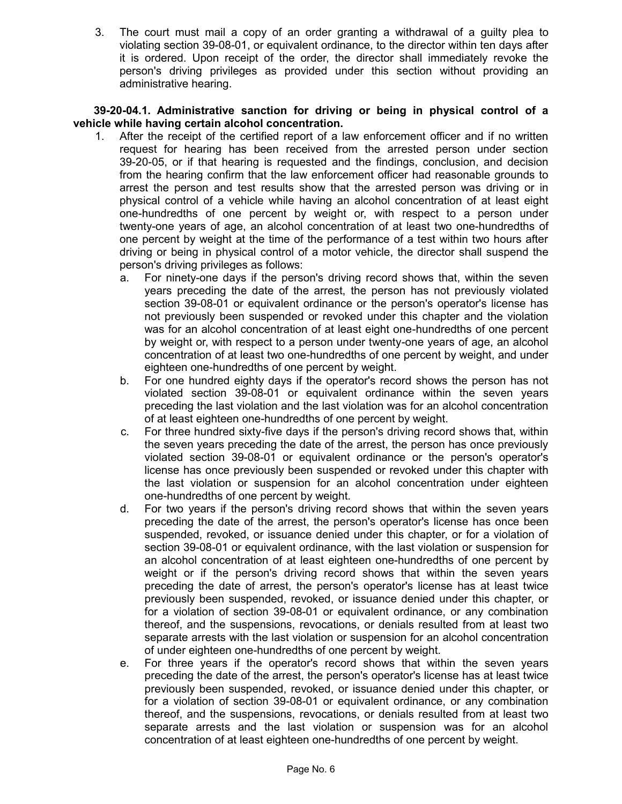3. The court must mail a copy of an order granting a withdrawal of a guilty plea to violating section 39-08-01, or equivalent ordinance, to the director within ten days after it is ordered. Upon receipt of the order, the director shall immediately revoke the person's driving privileges as provided under this section without providing an administrative hearing.

**39-20-04.1. Administrative sanction for driving or being in physical control of a vehicle while having certain alcohol concentration.**

- 1. After the receipt of the certified report of a law enforcement officer and if no written request for hearing has been received from the arrested person under section 39-20-05, or if that hearing is requested and the findings, conclusion, and decision from the hearing confirm that the law enforcement officer had reasonable grounds to arrest the person and test results show that the arrested person was driving or in physical control of a vehicle while having an alcohol concentration of at least eight one-hundredths of one percent by weight or, with respect to a person under twenty-one years of age, an alcohol concentration of at least two one-hundredths of one percent by weight at the time of the performance of a test within two hours after driving or being in physical control of a motor vehicle, the director shall suspend the person's driving privileges as follows:
	- a. For ninety-one days if the person's driving record shows that, within the seven years preceding the date of the arrest, the person has not previously violated section 39-08-01 or equivalent ordinance or the person's operator's license has not previously been suspended or revoked under this chapter and the violation was for an alcohol concentration of at least eight one-hundredths of one percent by weight or, with respect to a person under twenty-one years of age, an alcohol concentration of at least two one-hundredths of one percent by weight, and under eighteen one-hundredths of one percent by weight.
	- b. For one hundred eighty days if the operator's record shows the person has not violated section 39-08-01 or equivalent ordinance within the seven years preceding the last violation and the last violation was for an alcohol concentration of at least eighteen one-hundredths of one percent by weight.
	- c. For three hundred sixty-five days if the person's driving record shows that, within the seven years preceding the date of the arrest, the person has once previously violated section 39-08-01 or equivalent ordinance or the person's operator's license has once previously been suspended or revoked under this chapter with the last violation or suspension for an alcohol concentration under eighteen one-hundredths of one percent by weight.
	- d. For two years if the person's driving record shows that within the seven years preceding the date of the arrest, the person's operator's license has once been suspended, revoked, or issuance denied under this chapter, or for a violation of section 39-08-01 or equivalent ordinance, with the last violation or suspension for an alcohol concentration of at least eighteen one-hundredths of one percent by weight or if the person's driving record shows that within the seven years preceding the date of arrest, the person's operator's license has at least twice previously been suspended, revoked, or issuance denied under this chapter, or for a violation of section 39-08-01 or equivalent ordinance, or any combination thereof, and the suspensions, revocations, or denials resulted from at least two separate arrests with the last violation or suspension for an alcohol concentration of under eighteen one-hundredths of one percent by weight.
	- e. For three years if the operator's record shows that within the seven years preceding the date of the arrest, the person's operator's license has at least twice previously been suspended, revoked, or issuance denied under this chapter, or for a violation of section 39-08-01 or equivalent ordinance, or any combination thereof, and the suspensions, revocations, or denials resulted from at least two separate arrests and the last violation or suspension was for an alcohol concentration of at least eighteen one-hundredths of one percent by weight.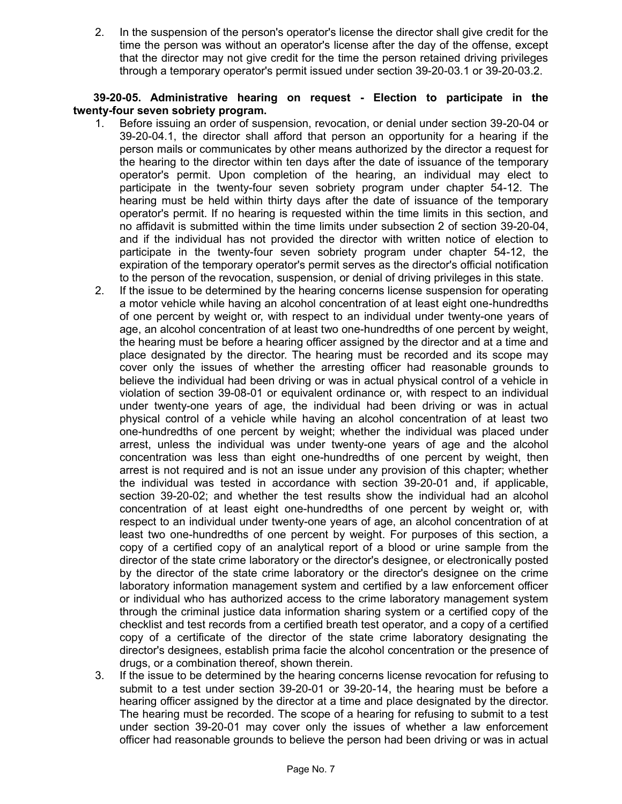2. In the suspension of the person's operator's license the director shall give credit for the time the person was without an operator's license after the day of the offense, except that the director may not give credit for the time the person retained driving privileges through a temporary operator's permit issued under section 39-20-03.1 or 39-20-03.2.

# **39-20-05. Administrative hearing on request - Election to participate in the twenty-four seven sobriety program.**

- 1. Before issuing an order of suspension, revocation, or denial under section 39-20-04 or 39-20-04.1, the director shall afford that person an opportunity for a hearing if the person mails or communicates by other means authorized by the director a request for the hearing to the director within ten days after the date of issuance of the temporary operator's permit. Upon completion of the hearing, an individual may elect to participate in the twenty-four seven sobriety program under chapter 54-12. The hearing must be held within thirty days after the date of issuance of the temporary operator's permit. If no hearing is requested within the time limits in this section, and no affidavit is submitted within the time limits under subsection 2 of section 39-20-04, and if the individual has not provided the director with written notice of election to participate in the twenty-four seven sobriety program under chapter 54-12, the expiration of the temporary operator's permit serves as the director's official notification to the person of the revocation, suspension, or denial of driving privileges in this state.
- 2. If the issue to be determined by the hearing concerns license suspension for operating a motor vehicle while having an alcohol concentration of at least eight one-hundredths of one percent by weight or, with respect to an individual under twenty-one years of age, an alcohol concentration of at least two one-hundredths of one percent by weight, the hearing must be before a hearing officer assigned by the director and at a time and place designated by the director. The hearing must be recorded and its scope may cover only the issues of whether the arresting officer had reasonable grounds to believe the individual had been driving or was in actual physical control of a vehicle in violation of section 39-08-01 or equivalent ordinance or, with respect to an individual under twenty-one years of age, the individual had been driving or was in actual physical control of a vehicle while having an alcohol concentration of at least two one-hundredths of one percent by weight; whether the individual was placed under arrest, unless the individual was under twenty-one years of age and the alcohol concentration was less than eight one-hundredths of one percent by weight, then arrest is not required and is not an issue under any provision of this chapter; whether the individual was tested in accordance with section 39-20-01 and, if applicable, section 39-20-02; and whether the test results show the individual had an alcohol concentration of at least eight one-hundredths of one percent by weight or, with respect to an individual under twenty-one years of age, an alcohol concentration of at least two one-hundredths of one percent by weight. For purposes of this section, a copy of a certified copy of an analytical report of a blood or urine sample from the director of the state crime laboratory or the director's designee, or electronically posted by the director of the state crime laboratory or the director's designee on the crime laboratory information management system and certified by a law enforcement officer or individual who has authorized access to the crime laboratory management system through the criminal justice data information sharing system or a certified copy of the checklist and test records from a certified breath test operator, and a copy of a certified copy of a certificate of the director of the state crime laboratory designating the director's designees, establish prima facie the alcohol concentration or the presence of drugs, or a combination thereof, shown therein.
- 3. If the issue to be determined by the hearing concerns license revocation for refusing to submit to a test under section 39-20-01 or 39-20-14, the hearing must be before a hearing officer assigned by the director at a time and place designated by the director. The hearing must be recorded. The scope of a hearing for refusing to submit to a test under section 39-20-01 may cover only the issues of whether a law enforcement officer had reasonable grounds to believe the person had been driving or was in actual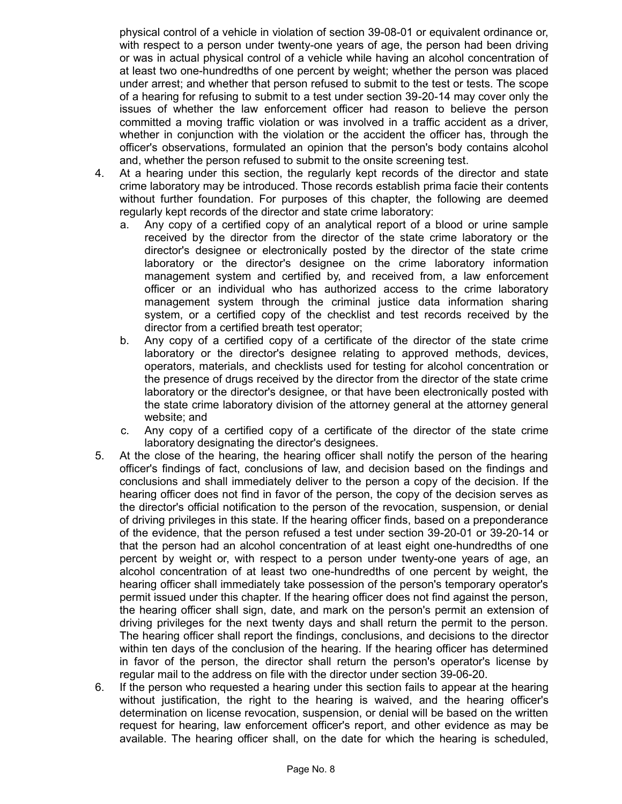physical control of a vehicle in violation of section 39-08-01 or equivalent ordinance or, with respect to a person under twenty-one years of age, the person had been driving or was in actual physical control of a vehicle while having an alcohol concentration of at least two one-hundredths of one percent by weight; whether the person was placed under arrest; and whether that person refused to submit to the test or tests. The scope of a hearing for refusing to submit to a test under section 39-20-14 may cover only the issues of whether the law enforcement officer had reason to believe the person committed a moving traffic violation or was involved in a traffic accident as a driver, whether in conjunction with the violation or the accident the officer has, through the officer's observations, formulated an opinion that the person's body contains alcohol and, whether the person refused to submit to the onsite screening test.

- 4. At a hearing under this section, the regularly kept records of the director and state crime laboratory may be introduced. Those records establish prima facie their contents without further foundation. For purposes of this chapter, the following are deemed regularly kept records of the director and state crime laboratory:
	- a. Any copy of a certified copy of an analytical report of a blood or urine sample received by the director from the director of the state crime laboratory or the director's designee or electronically posted by the director of the state crime laboratory or the director's designee on the crime laboratory information management system and certified by, and received from, a law enforcement officer or an individual who has authorized access to the crime laboratory management system through the criminal justice data information sharing system, or a certified copy of the checklist and test records received by the director from a certified breath test operator;
	- b. Any copy of a certified copy of a certificate of the director of the state crime laboratory or the director's designee relating to approved methods, devices, operators, materials, and checklists used for testing for alcohol concentration or the presence of drugs received by the director from the director of the state crime laboratory or the director's designee, or that have been electronically posted with the state crime laboratory division of the attorney general at the attorney general website; and
	- c. Any copy of a certified copy of a certificate of the director of the state crime laboratory designating the director's designees.
- 5. At the close of the hearing, the hearing officer shall notify the person of the hearing officer's findings of fact, conclusions of law, and decision based on the findings and conclusions and shall immediately deliver to the person a copy of the decision. If the hearing officer does not find in favor of the person, the copy of the decision serves as the director's official notification to the person of the revocation, suspension, or denial of driving privileges in this state. If the hearing officer finds, based on a preponderance of the evidence, that the person refused a test under section 39-20-01 or 39-20-14 or that the person had an alcohol concentration of at least eight one-hundredths of one percent by weight or, with respect to a person under twenty-one years of age, an alcohol concentration of at least two one-hundredths of one percent by weight, the hearing officer shall immediately take possession of the person's temporary operator's permit issued under this chapter. If the hearing officer does not find against the person, the hearing officer shall sign, date, and mark on the person's permit an extension of driving privileges for the next twenty days and shall return the permit to the person. The hearing officer shall report the findings, conclusions, and decisions to the director within ten days of the conclusion of the hearing. If the hearing officer has determined in favor of the person, the director shall return the person's operator's license by regular mail to the address on file with the director under section 39-06-20.
- 6. If the person who requested a hearing under this section fails to appear at the hearing without justification, the right to the hearing is waived, and the hearing officer's determination on license revocation, suspension, or denial will be based on the written request for hearing, law enforcement officer's report, and other evidence as may be available. The hearing officer shall, on the date for which the hearing is scheduled,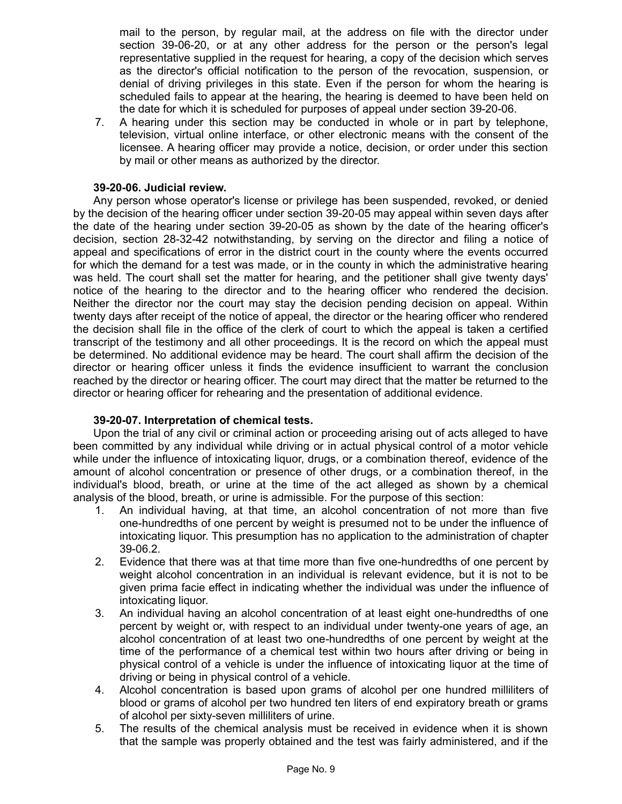mail to the person, by regular mail, at the address on file with the director under section 39-06-20, or at any other address for the person or the person's legal representative supplied in the request for hearing, a copy of the decision which serves as the director's official notification to the person of the revocation, suspension, or denial of driving privileges in this state. Even if the person for whom the hearing is scheduled fails to appear at the hearing, the hearing is deemed to have been held on the date for which it is scheduled for purposes of appeal under section 39-20-06.

7. A hearing under this section may be conducted in whole or in part by telephone, television, virtual online interface, or other electronic means with the consent of the licensee. A hearing officer may provide a notice, decision, or order under this section by mail or other means as authorized by the director.

# **39-20-06. Judicial review.**

Any person whose operator's license or privilege has been suspended, revoked, or denied by the decision of the hearing officer under section 39-20-05 may appeal within seven days after the date of the hearing under section 39-20-05 as shown by the date of the hearing officer's decision, section 28-32-42 notwithstanding, by serving on the director and filing a notice of appeal and specifications of error in the district court in the county where the events occurred for which the demand for a test was made, or in the county in which the administrative hearing was held. The court shall set the matter for hearing, and the petitioner shall give twenty days' notice of the hearing to the director and to the hearing officer who rendered the decision. Neither the director nor the court may stay the decision pending decision on appeal. Within twenty days after receipt of the notice of appeal, the director or the hearing officer who rendered the decision shall file in the office of the clerk of court to which the appeal is taken a certified transcript of the testimony and all other proceedings. It is the record on which the appeal must be determined. No additional evidence may be heard. The court shall affirm the decision of the director or hearing officer unless it finds the evidence insufficient to warrant the conclusion reached by the director or hearing officer. The court may direct that the matter be returned to the director or hearing officer for rehearing and the presentation of additional evidence.

# **39-20-07. Interpretation of chemical tests.**

Upon the trial of any civil or criminal action or proceeding arising out of acts alleged to have been committed by any individual while driving or in actual physical control of a motor vehicle while under the influence of intoxicating liquor, drugs, or a combination thereof, evidence of the amount of alcohol concentration or presence of other drugs, or a combination thereof, in the individual's blood, breath, or urine at the time of the act alleged as shown by a chemical analysis of the blood, breath, or urine is admissible. For the purpose of this section:

- 1. An individual having, at that time, an alcohol concentration of not more than five one-hundredths of one percent by weight is presumed not to be under the influence of intoxicating liquor. This presumption has no application to the administration of chapter 39-06.2.
- 2. Evidence that there was at that time more than five one-hundredths of one percent by weight alcohol concentration in an individual is relevant evidence, but it is not to be given prima facie effect in indicating whether the individual was under the influence of intoxicating liquor.
- 3. An individual having an alcohol concentration of at least eight one-hundredths of one percent by weight or, with respect to an individual under twenty-one years of age, an alcohol concentration of at least two one-hundredths of one percent by weight at the time of the performance of a chemical test within two hours after driving or being in physical control of a vehicle is under the influence of intoxicating liquor at the time of driving or being in physical control of a vehicle.
- 4. Alcohol concentration is based upon grams of alcohol per one hundred milliliters of blood or grams of alcohol per two hundred ten liters of end expiratory breath or grams of alcohol per sixty-seven milliliters of urine.
- 5. The results of the chemical analysis must be received in evidence when it is shown that the sample was properly obtained and the test was fairly administered, and if the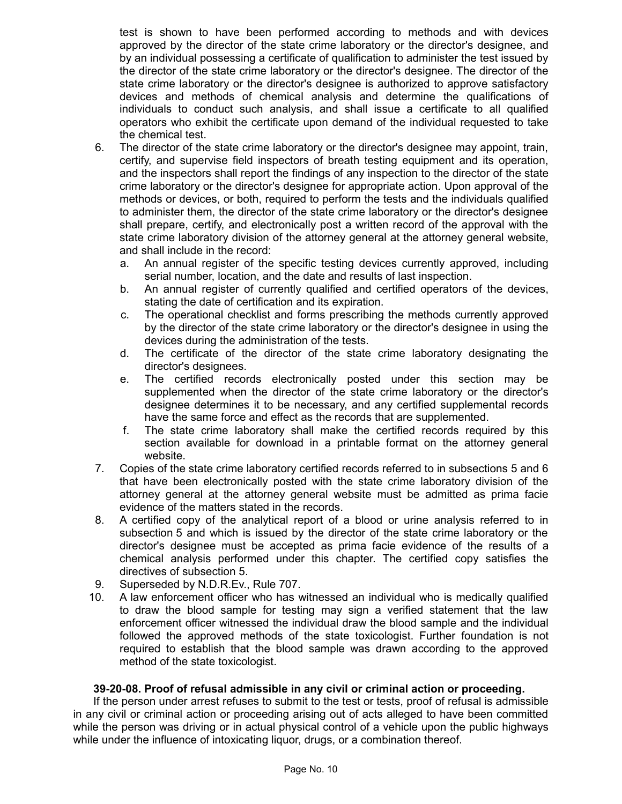test is shown to have been performed according to methods and with devices approved by the director of the state crime laboratory or the director's designee, and by an individual possessing a certificate of qualification to administer the test issued by the director of the state crime laboratory or the director's designee. The director of the state crime laboratory or the director's designee is authorized to approve satisfactory devices and methods of chemical analysis and determine the qualifications of individuals to conduct such analysis, and shall issue a certificate to all qualified operators who exhibit the certificate upon demand of the individual requested to take the chemical test.

- 6. The director of the state crime laboratory or the director's designee may appoint, train, certify, and supervise field inspectors of breath testing equipment and its operation, and the inspectors shall report the findings of any inspection to the director of the state crime laboratory or the director's designee for appropriate action. Upon approval of the methods or devices, or both, required to perform the tests and the individuals qualified to administer them, the director of the state crime laboratory or the director's designee shall prepare, certify, and electronically post a written record of the approval with the state crime laboratory division of the attorney general at the attorney general website, and shall include in the record:
	- a. An annual register of the specific testing devices currently approved, including serial number, location, and the date and results of last inspection.
	- b. An annual register of currently qualified and certified operators of the devices, stating the date of certification and its expiration.
	- c. The operational checklist and forms prescribing the methods currently approved by the director of the state crime laboratory or the director's designee in using the devices during the administration of the tests.
	- d. The certificate of the director of the state crime laboratory designating the director's designees.
	- e. The certified records electronically posted under this section may be supplemented when the director of the state crime laboratory or the director's designee determines it to be necessary, and any certified supplemental records have the same force and effect as the records that are supplemented.
	- f. The state crime laboratory shall make the certified records required by this section available for download in a printable format on the attorney general website.
- 7. Copies of the state crime laboratory certified records referred to in subsections 5 and 6 that have been electronically posted with the state crime laboratory division of the attorney general at the attorney general website must be admitted as prima facie evidence of the matters stated in the records.
- 8. A certified copy of the analytical report of a blood or urine analysis referred to in subsection 5 and which is issued by the director of the state crime laboratory or the director's designee must be accepted as prima facie evidence of the results of a chemical analysis performed under this chapter. The certified copy satisfies the directives of subsection 5.
- 9. Superseded by N.D.R.Ev., Rule 707.
- 10. A law enforcement officer who has witnessed an individual who is medically qualified to draw the blood sample for testing may sign a verified statement that the law enforcement officer witnessed the individual draw the blood sample and the individual followed the approved methods of the state toxicologist. Further foundation is not required to establish that the blood sample was drawn according to the approved method of the state toxicologist.

# **39-20-08. Proof of refusal admissible in any civil or criminal action or proceeding.**

If the person under arrest refuses to submit to the test or tests, proof of refusal is admissible in any civil or criminal action or proceeding arising out of acts alleged to have been committed while the person was driving or in actual physical control of a vehicle upon the public highways while under the influence of intoxicating liquor, drugs, or a combination thereof.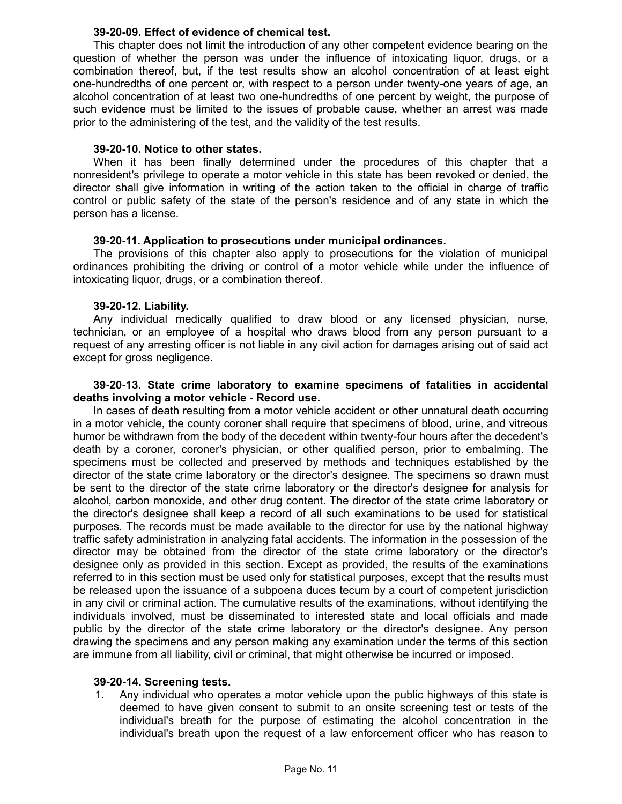## **39-20-09. Effect of evidence of chemical test.**

This chapter does not limit the introduction of any other competent evidence bearing on the question of whether the person was under the influence of intoxicating liquor, drugs, or a combination thereof, but, if the test results show an alcohol concentration of at least eight one-hundredths of one percent or, with respect to a person under twenty-one years of age, an alcohol concentration of at least two one-hundredths of one percent by weight, the purpose of such evidence must be limited to the issues of probable cause, whether an arrest was made prior to the administering of the test, and the validity of the test results.

### **39-20-10. Notice to other states.**

When it has been finally determined under the procedures of this chapter that a nonresident's privilege to operate a motor vehicle in this state has been revoked or denied, the director shall give information in writing of the action taken to the official in charge of traffic control or public safety of the state of the person's residence and of any state in which the person has a license.

# **39-20-11. Application to prosecutions under municipal ordinances.**

The provisions of this chapter also apply to prosecutions for the violation of municipal ordinances prohibiting the driving or control of a motor vehicle while under the influence of intoxicating liquor, drugs, or a combination thereof.

# **39-20-12. Liability.**

Any individual medically qualified to draw blood or any licensed physician, nurse, technician, or an employee of a hospital who draws blood from any person pursuant to a request of any arresting officer is not liable in any civil action for damages arising out of said act except for gross negligence.

## **39-20-13. State crime laboratory to examine specimens of fatalities in accidental deaths involving a motor vehicle - Record use.**

In cases of death resulting from a motor vehicle accident or other unnatural death occurring in a motor vehicle, the county coroner shall require that specimens of blood, urine, and vitreous humor be withdrawn from the body of the decedent within twenty-four hours after the decedent's death by a coroner, coroner's physician, or other qualified person, prior to embalming. The specimens must be collected and preserved by methods and techniques established by the director of the state crime laboratory or the director's designee. The specimens so drawn must be sent to the director of the state crime laboratory or the director's designee for analysis for alcohol, carbon monoxide, and other drug content. The director of the state crime laboratory or the director's designee shall keep a record of all such examinations to be used for statistical purposes. The records must be made available to the director for use by the national highway traffic safety administration in analyzing fatal accidents. The information in the possession of the director may be obtained from the director of the state crime laboratory or the director's designee only as provided in this section. Except as provided, the results of the examinations referred to in this section must be used only for statistical purposes, except that the results must be released upon the issuance of a subpoena duces tecum by a court of competent jurisdiction in any civil or criminal action. The cumulative results of the examinations, without identifying the individuals involved, must be disseminated to interested state and local officials and made public by the director of the state crime laboratory or the director's designee. Any person drawing the specimens and any person making any examination under the terms of this section are immune from all liability, civil or criminal, that might otherwise be incurred or imposed.

### **39-20-14. Screening tests.**

1. Any individual who operates a motor vehicle upon the public highways of this state is deemed to have given consent to submit to an onsite screening test or tests of the individual's breath for the purpose of estimating the alcohol concentration in the individual's breath upon the request of a law enforcement officer who has reason to